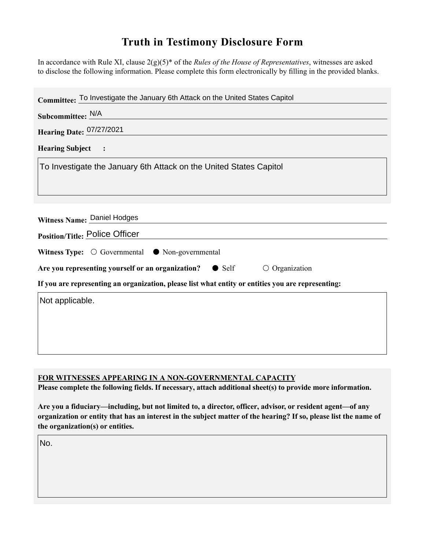## **Truth in Testimony Disclosure Form**

In accordance with Rule XI, clause 2(g)(5)\* of the *Rules of the House of Representatives*, witnesses are asked to disclose the following information. Please complete this form electronically by filling in the provided blanks.

| Committee: To Investigate the January 6th Attack on the United States Capitol                      |
|----------------------------------------------------------------------------------------------------|
| Subcommittee: N/A                                                                                  |
| Hearing Date: 07/27/2021                                                                           |
| <b>Hearing Subject</b><br>$\ddot{\cdot}$                                                           |
| To Investigate the January 6th Attack on the United States Capitol                                 |
| Witness Name: Daniel Hodges                                                                        |
| <b>Position/Title: Police Officer</b>                                                              |
| Witness Type: $\bigcirc$ Governmental $\bullet$ Non-governmental                                   |
| Are you representing yourself or an organization? • Self<br>$\circ$ Organization                   |
| If you are representing an organization, please list what entity or entities you are representing: |
| Not applicable.                                                                                    |

## **FOR WITNESSES APPEARING IN A NON-GOVERNMENTAL CAPACITY**

**Please complete the following fields. If necessary, attach additional sheet(s) to provide more information.**

**Are you a fiduciary—including, but not limited to, a director, officer, advisor, or resident agent—of any organization or entity that has an interest in the subject matter of the hearing? If so, please list the name of the organization(s) or entities.**

No.